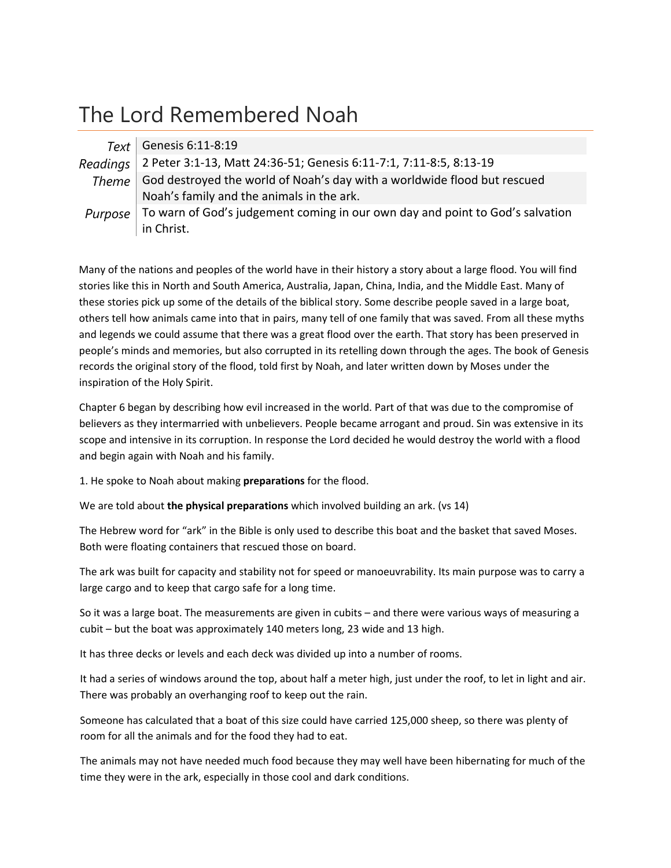## The Lord Remembered Noah

| Text Genesis 6:11-8:19                                                                  |
|-----------------------------------------------------------------------------------------|
| Readings 2 Peter 3:1-13, Matt 24:36-51; Genesis 6:11-7:1, 7:11-8:5, 8:13-19             |
| Theme   God destroyed the world of Noah's day with a worldwide flood but rescued        |
| Noah's family and the animals in the ark.                                               |
| Purpose   To warn of God's judgement coming in our own day and point to God's salvation |
| in Christ.                                                                              |

Many of the nations and peoples of the world have in their history a story about a large flood. You will find stories like this in North and South America, Australia, Japan, China, India, and the Middle East. Many of these stories pick up some of the details of the biblical story. Some describe people saved in a large boat, others tell how animals came into that in pairs, many tell of one family that was saved. From all these myths and legends we could assume that there was a great flood over the earth. That story has been preserved in people's minds and memories, but also corrupted in its retelling down through the ages. The book of Genesis records the original story of the flood, told first by Noah, and later written down by Moses under the inspiration of the Holy Spirit.

Chapter 6 began by describing how evil increased in the world. Part of that was due to the compromise of believers as they intermarried with unbelievers. People became arrogant and proud. Sin was extensive in its scope and intensive in its corruption. In response the Lord decided he would destroy the world with a flood and begin again with Noah and his family.

1. He spoke to Noah about making **preparations** for the flood.

We are told about **the physical preparations** which involved building an ark. (vs 14)

The Hebrew word for "ark" in the Bible is only used to describe this boat and the basket that saved Moses. Both were floating containers that rescued those on board.

The ark was built for capacity and stability not for speed or manoeuvrability. Its main purpose was to carry a large cargo and to keep that cargo safe for a long time.

So it was a large boat. The measurements are given in cubits – and there were various ways of measuring a cubit – but the boat was approximately 140 meters long, 23 wide and 13 high.

It has three decks or levels and each deck was divided up into a number of rooms.

It had a series of windows around the top, about half a meter high, just under the roof, to let in light and air. There was probably an overhanging roof to keep out the rain.

Someone has calculated that a boat of this size could have carried 125,000 sheep, so there was plenty of room for all the animals and for the food they had to eat.

The animals may not have needed much food because they may well have been hibernating for much of the time they were in the ark, especially in those cool and dark conditions.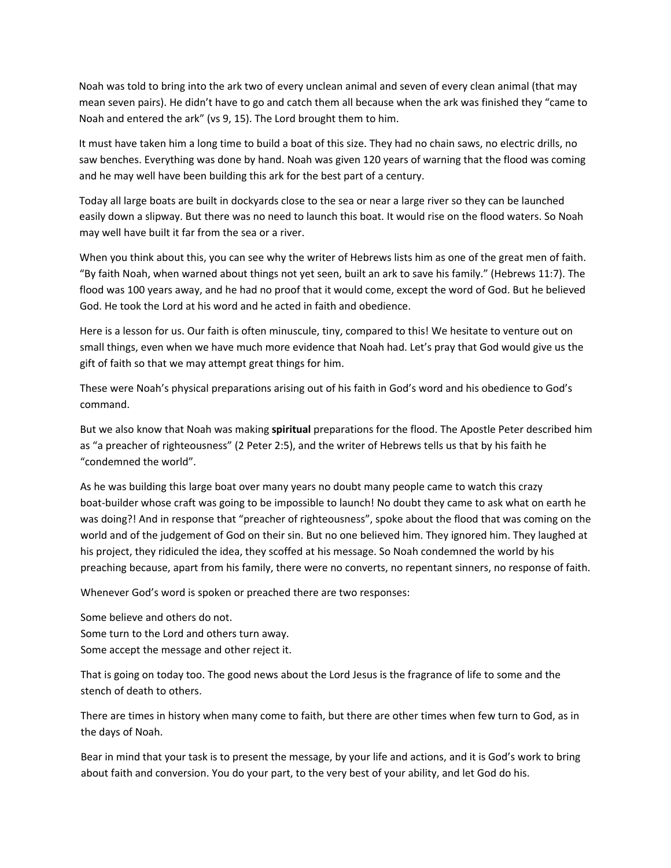Noah was told to bring into the ark two of every unclean animal and seven of every clean animal (that may mean seven pairs). He didn't have to go and catch them all because when the ark was finished they "came to Noah and entered the ark" (vs 9, 15). The Lord brought them to him.

It must have taken him a long time to build a boat of this size. They had no chain saws, no electric drills, no saw benches. Everything was done by hand. Noah was given 120 years of warning that the flood was coming and he may well have been building this ark for the best part of a century.

Today all large boats are built in dockyards close to the sea or near a large river so they can be launched easily down a slipway. But there was no need to launch this boat. It would rise on the flood waters. So Noah may well have built it far from the sea or a river.

When you think about this, you can see why the writer of Hebrews lists him as one of the great men of faith. "By faith Noah, when warned about things not yet seen, built an ark to save his family." (Hebrews 11:7). The flood was 100 years away, and he had no proof that it would come, except the word of God. But he believed God. He took the Lord at his word and he acted in faith and obedience.

Here is a lesson for us. Our faith is often minuscule, tiny, compared to this! We hesitate to venture out on small things, even when we have much more evidence that Noah had. Let's pray that God would give us the gift of faith so that we may attempt great things for him.

These were Noah's physical preparations arising out of his faith in God's word and his obedience to God's command.

But we also know that Noah was making **spiritual** preparations for the flood. The Apostle Peter described him as "a preacher of righteousness" (2 Peter 2:5), and the writer of Hebrews tells us that by his faith he "condemned the world".

As he was building this large boat over many years no doubt many people came to watch this crazy boat‐builder whose craft was going to be impossible to launch! No doubt they came to ask what on earth he was doing?! And in response that "preacher of righteousness", spoke about the flood that was coming on the world and of the judgement of God on their sin. But no one believed him. They ignored him. They laughed at his project, they ridiculed the idea, they scoffed at his message. So Noah condemned the world by his preaching because, apart from his family, there were no converts, no repentant sinners, no response of faith.

Whenever God's word is spoken or preached there are two responses:

Some believe and others do not. Some turn to the Lord and others turn away. Some accept the message and other reject it.

That is going on today too. The good news about the Lord Jesus is the fragrance of life to some and the stench of death to others.

There are times in history when many come to faith, but there are other times when few turn to God, as in the days of Noah.

Bear in mind that your task is to present the message, by your life and actions, and it is God's work to bring about faith and conversion. You do your part, to the very best of your ability, and let God do his.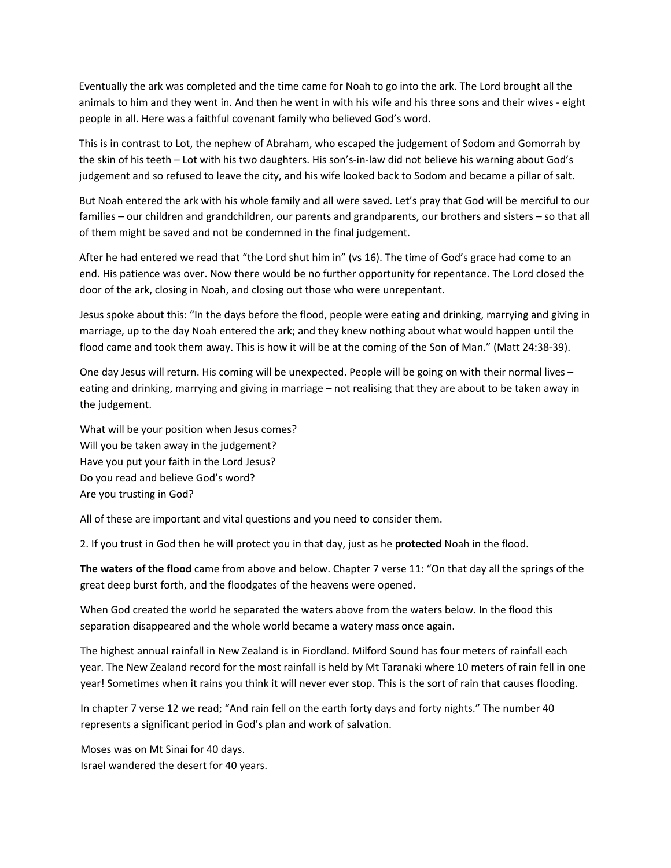Eventually the ark was completed and the time came for Noah to go into the ark. The Lord brought all the animals to him and they went in. And then he went in with his wife and his three sons and their wives ‐ eight people in all. Here was a faithful covenant family who believed God's word.

This is in contrast to Lot, the nephew of Abraham, who escaped the judgement of Sodom and Gomorrah by the skin of his teeth – Lot with his two daughters. His son's‐in‐law did not believe his warning about God's judgement and so refused to leave the city, and his wife looked back to Sodom and became a pillar of salt.

But Noah entered the ark with his whole family and all were saved. Let's pray that God will be merciful to our families – our children and grandchildren, our parents and grandparents, our brothers and sisters – so that all of them might be saved and not be condemned in the final judgement.

After he had entered we read that "the Lord shut him in" (vs 16). The time of God's grace had come to an end. His patience was over. Now there would be no further opportunity for repentance. The Lord closed the door of the ark, closing in Noah, and closing out those who were unrepentant.

Jesus spoke about this: "In the days before the flood, people were eating and drinking, marrying and giving in marriage, up to the day Noah entered the ark; and they knew nothing about what would happen until the flood came and took them away. This is how it will be at the coming of the Son of Man." (Matt 24:38‐39).

One day Jesus will return. His coming will be unexpected. People will be going on with their normal lives – eating and drinking, marrying and giving in marriage – not realising that they are about to be taken away in the judgement.

What will be your position when Jesus comes? Will you be taken away in the judgement? Have you put your faith in the Lord Jesus? Do you read and believe God's word? Are you trusting in God?

All of these are important and vital questions and you need to consider them.

2. If you trust in God then he will protect you in that day, just as he **protected** Noah in the flood.

**The waters of the flood** came from above and below. Chapter 7 verse 11: "On that day all the springs of the great deep burst forth, and the floodgates of the heavens were opened.

When God created the world he separated the waters above from the waters below. In the flood this separation disappeared and the whole world became a watery mass once again.

The highest annual rainfall in New Zealand is in Fiordland. Milford Sound has four meters of rainfall each year. The New Zealand record for the most rainfall is held by Mt Taranaki where 10 meters of rain fell in one year! Sometimes when it rains you think it will never ever stop. This is the sort of rain that causes flooding.

In chapter 7 verse 12 we read; "And rain fell on the earth forty days and forty nights." The number 40 represents a significant period in God's plan and work of salvation.

Moses was on Mt Sinai for 40 days. Israel wandered the desert for 40 years.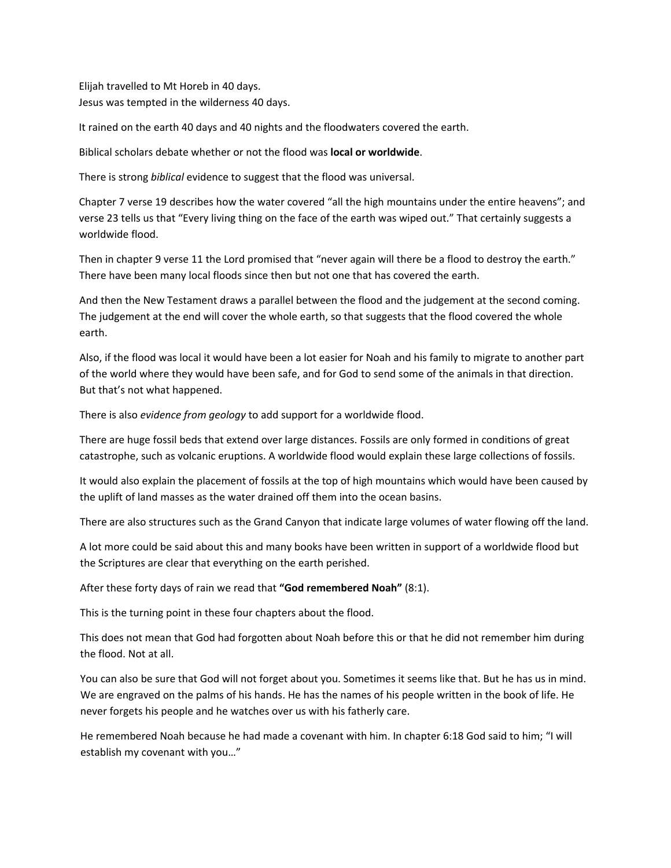Elijah travelled to Mt Horeb in 40 days. Jesus was tempted in the wilderness 40 days.

It rained on the earth 40 days and 40 nights and the floodwaters covered the earth.

Biblical scholars debate whether or not the flood was **local or worldwide**.

There is strong *biblical* evidence to suggest that the flood was universal.

Chapter 7 verse 19 describes how the water covered "all the high mountains under the entire heavens"; and verse 23 tells us that "Every living thing on the face of the earth was wiped out." That certainly suggests a worldwide flood.

Then in chapter 9 verse 11 the Lord promised that "never again will there be a flood to destroy the earth." There have been many local floods since then but not one that has covered the earth.

And then the New Testament draws a parallel between the flood and the judgement at the second coming. The judgement at the end will cover the whole earth, so that suggests that the flood covered the whole earth.

Also, if the flood was local it would have been a lot easier for Noah and his family to migrate to another part of the world where they would have been safe, and for God to send some of the animals in that direction. But that's not what happened.

There is also *evidence from geology* to add support for a worldwide flood.

There are huge fossil beds that extend over large distances. Fossils are only formed in conditions of great catastrophe, such as volcanic eruptions. A worldwide flood would explain these large collections of fossils.

It would also explain the placement of fossils at the top of high mountains which would have been caused by the uplift of land masses as the water drained off them into the ocean basins.

There are also structures such as the Grand Canyon that indicate large volumes of water flowing off the land.

A lot more could be said about this and many books have been written in support of a worldwide flood but the Scriptures are clear that everything on the earth perished.

After these forty days of rain we read that **"God remembered Noah"** (8:1).

This is the turning point in these four chapters about the flood.

This does not mean that God had forgotten about Noah before this or that he did not remember him during the flood. Not at all.

You can also be sure that God will not forget about you. Sometimes it seems like that. But he has us in mind. We are engraved on the palms of his hands. He has the names of his people written in the book of life. He never forgets his people and he watches over us with his fatherly care.

He remembered Noah because he had made a covenant with him. In chapter 6:18 God said to him; "I will establish my covenant with you…"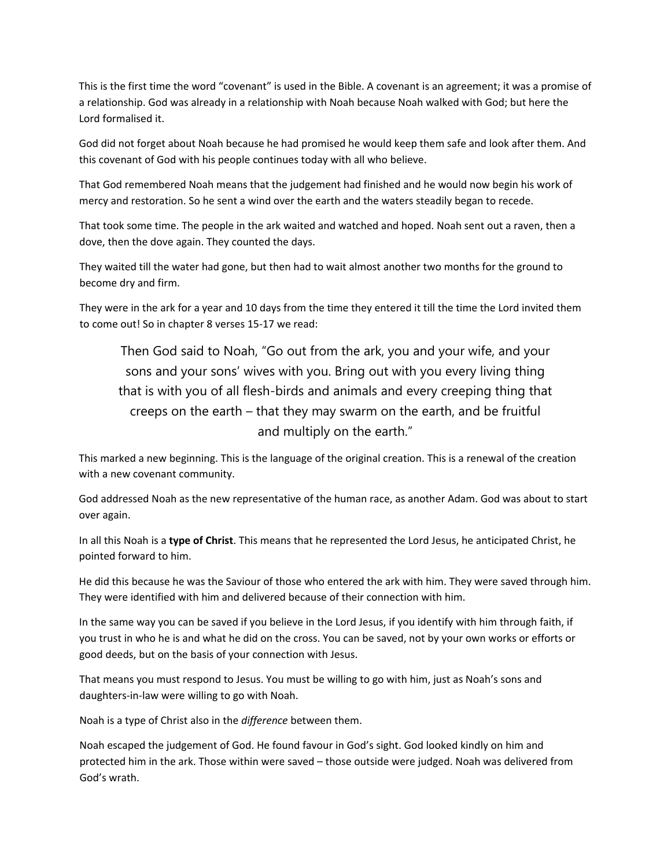This is the first time the word "covenant" is used in the Bible. A covenant is an agreement; it was a promise of a relationship. God was already in a relationship with Noah because Noah walked with God; but here the Lord formalised it.

God did not forget about Noah because he had promised he would keep them safe and look after them. And this covenant of God with his people continues today with all who believe.

That God remembered Noah means that the judgement had finished and he would now begin his work of mercy and restoration. So he sent a wind over the earth and the waters steadily began to recede.

That took some time. The people in the ark waited and watched and hoped. Noah sent out a raven, then a dove, then the dove again. They counted the days.

They waited till the water had gone, but then had to wait almost another two months for the ground to become dry and firm.

They were in the ark for a year and 10 days from the time they entered it till the time the Lord invited them to come out! So in chapter 8 verses 15‐17 we read:

Then God said to Noah, "Go out from the ark, you and your wife, and your sons and your sons' wives with you. Bring out with you every living thing that is with you of all flesh-birds and animals and every creeping thing that creeps on the earth – that they may swarm on the earth, and be fruitful and multiply on the earth."

This marked a new beginning. This is the language of the original creation. This is a renewal of the creation with a new covenant community.

God addressed Noah as the new representative of the human race, as another Adam. God was about to start over again.

In all this Noah is a **type of Christ**. This means that he represented the Lord Jesus, he anticipated Christ, he pointed forward to him.

He did this because he was the Saviour of those who entered the ark with him. They were saved through him. They were identified with him and delivered because of their connection with him.

In the same way you can be saved if you believe in the Lord Jesus, if you identify with him through faith, if you trust in who he is and what he did on the cross. You can be saved, not by your own works or efforts or good deeds, but on the basis of your connection with Jesus.

That means you must respond to Jesus. You must be willing to go with him, just as Noah's sons and daughters‐in‐law were willing to go with Noah.

Noah is a type of Christ also in the *difference* between them.

Noah escaped the judgement of God. He found favour in God's sight. God looked kindly on him and protected him in the ark. Those within were saved – those outside were judged. Noah was delivered from God's wrath.